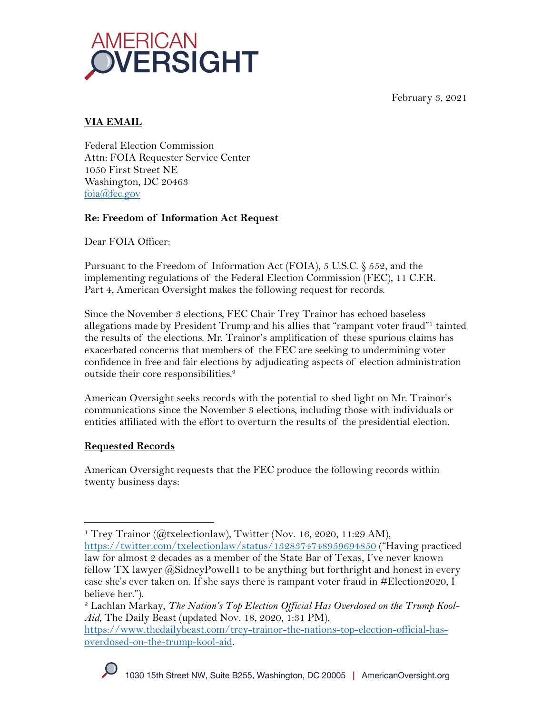February 3, 2021



# **VIA EMAIL**

Federal Election Commission Attn: FOIA Requester Service Center 1050 First Street NE Washington, DC 20463 foia@fec.gov

## **Re: Freedom of Information Act Request**

Dear FOIA Officer:

Pursuant to the Freedom of Information Act (FOIA), 5 U.S.C. § 552, and the implementing regulations of the Federal Election Commission (FEC), 11 C.F.R. Part 4, American Oversight makes the following request for records.

Since the November 3 elections, FEC Chair Trey Trainor has echoed baseless allegations made by President Trump and his allies that "rampant voter fraud"1 tainted the results of the elections. Mr. Trainor's amplification of these spurious claims has exacerbated concerns that members of the FEC are seeking to undermining voter confidence in free and fair elections by adjudicating aspects of election administration outside their core responsibilities. 2

American Oversight seeks records with the potential to shed light on Mr. Trainor's communications since the November 3 elections, including those with individuals or entities affiliated with the effort to overturn the results of the presidential election.

## **Requested Records**

American Oversight requests that the FEC produce the following records within twenty business days:

<sup>&</sup>lt;sup>1</sup> Trey Trainor (@txelectionlaw), Twitter (Nov. 16, 2020, 11:29 AM), https://twitter.com/txelectionlaw/status/1328374748959694850 ("Having practiced law for almost 2 decades as a member of the State Bar of Texas, I've never known fellow TX lawyer @SidneyPowell1 to be anything but forthright and honest in every case she's ever taken on. If she says there is rampant voter fraud in #Election2020, I believe her.").

<sup>2</sup> Lachlan Markay, *The Nation's Top Election Official Has Overdosed on the Trump Kool-Aid*, The Daily Beast (updated Nov. 18, 2020, 1:31 PM),

https://www.thedailybeast.com/trey-trainor-the-nations-top-election-official-hasoverdosed-on-the-trump-kool-aid.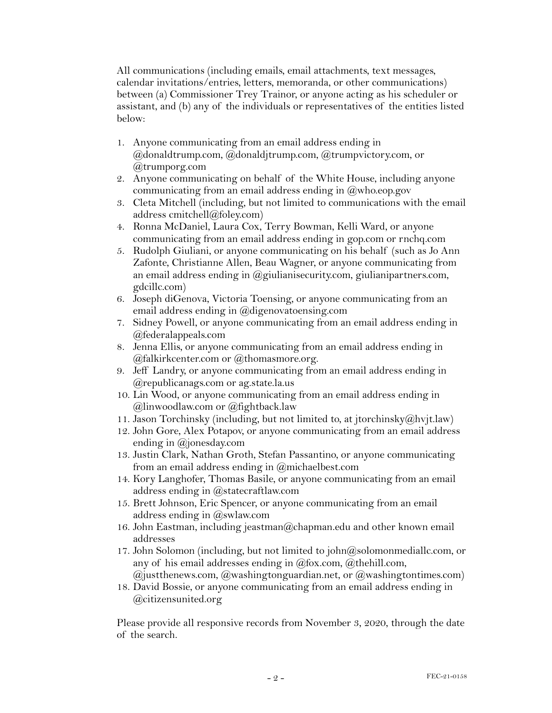All communications (including emails, email attachments, text messages, calendar invitations/entries, letters, memoranda, or other communications) between (a) Commissioner Trey Trainor, or anyone acting as his scheduler or assistant, and (b) any of the individuals or representatives of the entities listed below:

- 1. Anyone communicating from an email address ending in @donaldtrump.com, @donaldjtrump.com, @trumpvictory.com, or @trumporg.com
- 2. Anyone communicating on behalf of the White House, including anyone communicating from an email address ending in  $\omega$ who.eop.gov
- 3. Cleta Mitchell (including, but not limited to communications with the email address cmitchell@foley.com)
- 4. Ronna McDaniel, Laura Cox, Terry Bowman, Kelli Ward, or anyone communicating from an email address ending in gop.com or rnchq.com
- 5. Rudolph Giuliani, or anyone communicating on his behalf (such as Jo Ann Zafonte, Christianne Allen, Beau Wagner, or anyone communicating from an email address ending in @giulianisecurity.com, giulianipartners.com, gdcillc.com)
- 6. Joseph diGenova, Victoria Toensing, or anyone communicating from an email address ending in @digenovatoensing.com
- 7. Sidney Powell, or anyone communicating from an email address ending in @federalappeals.com
- 8. Jenna Ellis, or anyone communicating from an email address ending in  $@$ falkirkcenter.com or  $@$ thomasmore.org.
- 9. Jeff Landry, or anyone communicating from an email address ending in @republicanags.com or ag.state.la.us
- 10. Lin Wood, or anyone communicating from an email address ending in @linwoodlaw.com or @fightback.law
- 11. Jason Torchinsky (including, but not limited to, at jtorchinsky@hvjt.law)
- 12. John Gore, Alex Potapov, or anyone communicating from an email address ending in @jonesday.com
- 13. Justin Clark, Nathan Groth, Stefan Passantino, or anyone communicating from an email address ending in @michaelbest.com
- 14. Kory Langhofer, Thomas Basile, or anyone communicating from an email address ending in @statecraftlaw.com
- 15. Brett Johnson, Eric Spencer, or anyone communicating from an email address ending in @swlaw.com
- 16. John Eastman, including jeastman $@$ chapman.edu and other known email addresses
- 17. John Solomon (including, but not limited to john $(a)$ solomonmediallc.com, or any of his email addresses ending in  $(\partial_t)$  fox.com,  $(\partial_t)$  the hill.com,  $\omega$  (a) just thenews.com,  $\omega$  washingtonguardian.net, or  $\omega$  washington times.com)
- 18. David Bossie, or anyone communicating from an email address ending in @citizensunited.org

Please provide all responsive records from November 3, 2020, through the date of the search.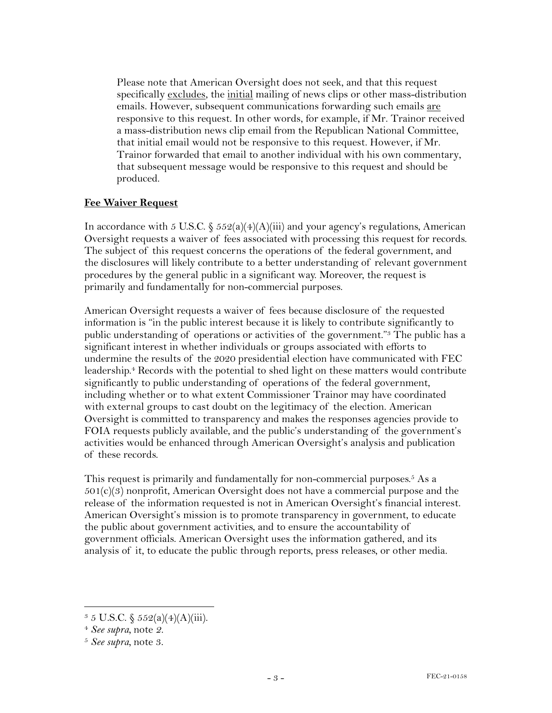Please note that American Oversight does not seek, and that this request specifically excludes, the initial mailing of news clips or other mass-distribution emails. However, subsequent communications forwarding such emails are responsive to this request. In other words, for example, if Mr. Trainor received a mass-distribution news clip email from the Republican National Committee, that initial email would not be responsive to this request. However, if Mr. Trainor forwarded that email to another individual with his own commentary, that subsequent message would be responsive to this request and should be produced.

#### **Fee Waiver Request**

In accordance with 5 U.S.C.  $\S 552(a)(4)(A)(iii)$  and your agency's regulations, American Oversight requests a waiver of fees associated with processing this request for records. The subject of this request concerns the operations of the federal government, and the disclosures will likely contribute to a better understanding of relevant government procedures by the general public in a significant way. Moreover, the request is primarily and fundamentally for non-commercial purposes.

American Oversight requests a waiver of fees because disclosure of the requested information is "in the public interest because it is likely to contribute significantly to public understanding of operations or activities of the government."3 The public has a significant interest in whether individuals or groups associated with efforts to undermine the results of the 2020 presidential election have communicated with FEC leadership.4 Records with the potential to shed light on these matters would contribute significantly to public understanding of operations of the federal government, including whether or to what extent Commissioner Trainor may have coordinated with external groups to cast doubt on the legitimacy of the election. American Oversight is committed to transparency and makes the responses agencies provide to FOIA requests publicly available, and the public's understanding of the government's activities would be enhanced through American Oversight's analysis and publication of these records.

This request is primarily and fundamentally for non-commercial purposes.<sup>5</sup> As a  $501(c)(3)$  nonprofit, American Oversight does not have a commercial purpose and the release of the information requested is not in American Oversight's financial interest. American Oversight's mission is to promote transparency in government, to educate the public about government activities, and to ensure the accountability of government officials. American Oversight uses the information gathered, and its analysis of it, to educate the public through reports, press releases, or other media.

 $3 \, 5 \,$  U.S.C.  $\frac{252(a)(4)(A)(iii)}{3}.$ 

<sup>4</sup> *See supra,* note *2.*

<sup>5</sup> *See supra,* note 3.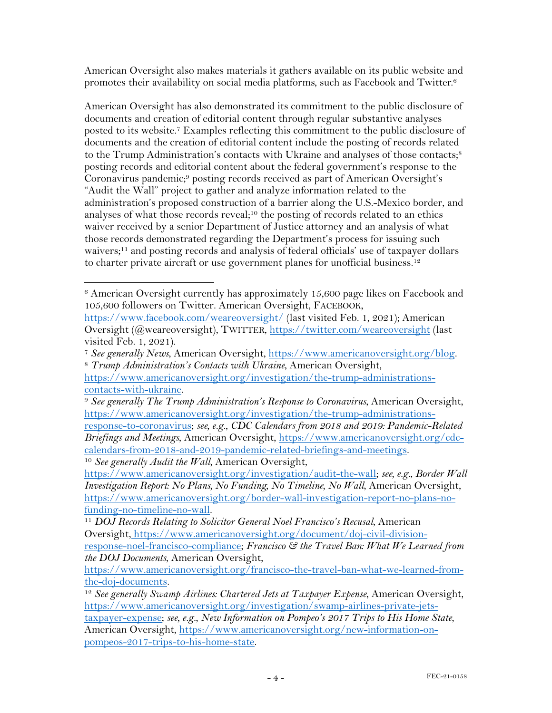American Oversight also makes materials it gathers available on its public website and promotes their availability on social media platforms, such as Facebook and Twitter.6

American Oversight has also demonstrated its commitment to the public disclosure of documents and creation of editorial content through regular substantive analyses posted to its website.7 Examples reflecting this commitment to the public disclosure of documents and the creation of editorial content include the posting of records related to the Trump Administration's contacts with Ukraine and analyses of those contacts;<sup>8</sup> posting records and editorial content about the federal government's response to the Coronavirus pandemic;<sup>9</sup> posting records received as part of American Oversight's "Audit the Wall" project to gather and analyze information related to the administration's proposed construction of a barrier along the U.S.-Mexico border, and analyses of what those records reveal;<sup>10</sup> the posting of records related to an ethics waiver received by a senior Department of Justice attorney and an analysis of what those records demonstrated regarding the Department's process for issuing such waivers;<sup>11</sup> and posting records and analysis of federal officials' use of taxpayer dollars to charter private aircraft or use government planes for unofficial business.<sup>12</sup>

<sup>10</sup> *See generally Audit the Wall*, American Oversight,

https://www.americanoversight.org/investigation/audit-the-wall; *see, e.g.*, *Border Wall Investigation Report: No Plans, No Funding, No Timeline, No Wall*, American Oversight, https://www.americanoversight.org/border-wall-investigation-report-no-plans-nofunding-no-timeline-no-wall. 11 *DOJ Records Relating to Solicitor General Noel Francisco's Recusal*, American

<sup>6</sup> American Oversight currently has approximately 15,600 page likes on Facebook and 105,600 followers on Twitter. American Oversight, FACEBOOK,

https://www.facebook.com/weareoversight/ (last visited Feb. 1, 2021); American Oversight (@weareoversight), TWITTER, https://twitter.com/weareoversight (last visited Feb. 1, 2021).

<sup>7</sup> *See generally News*, American Oversight, https://www.americanoversight.org/blog. 8 *Trump Administration's Contacts with Ukraine*, American Oversight,

https://www.americanoversight.org/investigation/the-trump-administrationscontacts-with-ukraine.

<sup>9</sup> *See generally The Trump Administration's Response to Coronavirus*, American Oversight, https://www.americanoversight.org/investigation/the-trump-administrationsresponse-to-coronavirus; *see, e.g.*, *CDC Calendars from 2018 and 2019: Pandemic-Related Briefings and Meetings*, American Oversight, https://www.americanoversight.org/cdccalendars-from-2018-and-2019-pandemic-related-briefings-and-meetings.

Oversight, https://www.americanoversight.org/document/doj-civil-divisionresponse-noel-francisco-compliance; *Francisco & the Travel Ban: What We Learned from the DOJ Documents*, American Oversight,

https://www.americanoversight.org/francisco-the-travel-ban-what-we-learned-fromthe-doj-documents.

<sup>12</sup> *See generally Swamp Airlines: Chartered Jets at Taxpayer Expense*, American Oversight, https://www.americanoversight.org/investigation/swamp-airlines-private-jetstaxpayer-expense; *see, e.g.*, *New Information on Pompeo's 2017 Trips to His Home State*, American Oversight, https://www.americanoversight.org/new-information-onpompeos-2017-trips-to-his-home-state.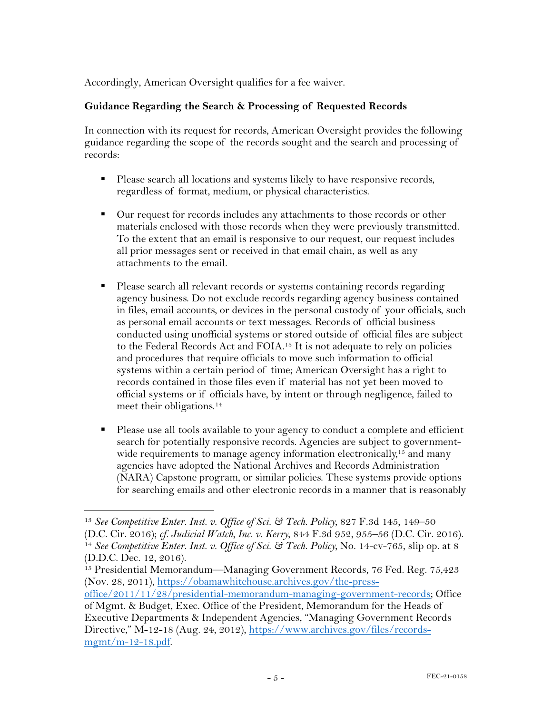Accordingly, American Oversight qualifies for a fee waiver.

### **Guidance Regarding the Search & Processing of Requested Records**

In connection with its request for records, American Oversight provides the following guidance regarding the scope of the records sought and the search and processing of records:

- Please search all locations and systems likely to have responsive records, regardless of format, medium, or physical characteristics.
- Our request for records includes any attachments to those records or other materials enclosed with those records when they were previously transmitted. To the extent that an email is responsive to our request, our request includes all prior messages sent or received in that email chain, as well as any attachments to the email.
- Please search all relevant records or systems containing records regarding agency business. Do not exclude records regarding agency business contained in files, email accounts, or devices in the personal custody of your officials, such as personal email accounts or text messages. Records of official business conducted using unofficial systems or stored outside of official files are subject to the Federal Records Act and FOIA.<sup>13</sup> It is not adequate to rely on policies and procedures that require officials to move such information to official systems within a certain period of time; American Oversight has a right to records contained in those files even if material has not yet been moved to official systems or if officials have, by intent or through negligence, failed to meet their obligations.<sup>14</sup>
- Please use all tools available to your agency to conduct a complete and efficient search for potentially responsive records. Agencies are subject to governmentwide requirements to manage agency information electronically,<sup>15</sup> and many agencies have adopted the National Archives and Records Administration (NARA) Capstone program, or similar policies. These systems provide options for searching emails and other electronic records in a manner that is reasonably

<sup>13</sup> *See Competitive Enter. Inst. v. Office of Sci. & Tech. Policy*, 827 F.3d 145, 149–50 (D.C. Cir. 2016); *cf. Judicial Watch, Inc. v. Kerry*, 844 F.3d 952, 955–56 (D.C. Cir. 2016). 14 *See Competitive Enter. Inst. v. Office of Sci. & Tech. Policy*, No. 14-cv-765, slip op. at 8 (D.D.C. Dec. 12, 2016).

<sup>&</sup>lt;sup>15</sup> Presidential Memorandum—Managing Government Records, 76 Fed. Reg. 75,423 (Nov. 28, 2011), https://obamawhitehouse.archives.gov/the-press-

office/2011/11/28/presidential-memorandum-managing-government-records; Office

of Mgmt. & Budget, Exec. Office of the President, Memorandum for the Heads of Executive Departments & Independent Agencies, "Managing Government Records Directive," M-12-18 (Aug. 24, 2012), https://www.archives.gov/files/records $m$ gmt/m-12-18.pdf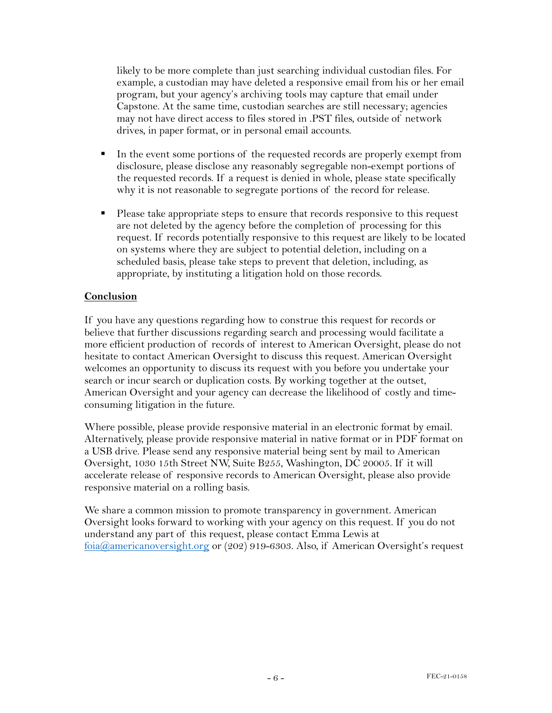likely to be more complete than just searching individual custodian files. For example, a custodian may have deleted a responsive email from his or her email program, but your agency's archiving tools may capture that email under Capstone. At the same time, custodian searches are still necessary; agencies may not have direct access to files stored in .PST files, outside of network drives, in paper format, or in personal email accounts.

- In the event some portions of the requested records are properly exempt from disclosure, please disclose any reasonably segregable non-exempt portions of the requested records. If a request is denied in whole, please state specifically why it is not reasonable to segregate portions of the record for release.
- § Please take appropriate steps to ensure that records responsive to this request are not deleted by the agency before the completion of processing for this request. If records potentially responsive to this request are likely to be located on systems where they are subject to potential deletion, including on a scheduled basis, please take steps to prevent that deletion, including, as appropriate, by instituting a litigation hold on those records.

### **Conclusion**

If you have any questions regarding how to construe this request for records or believe that further discussions regarding search and processing would facilitate a more efficient production of records of interest to American Oversight, please do not hesitate to contact American Oversight to discuss this request. American Oversight welcomes an opportunity to discuss its request with you before you undertake your search or incur search or duplication costs. By working together at the outset, American Oversight and your agency can decrease the likelihood of costly and timeconsuming litigation in the future.

Where possible, please provide responsive material in an electronic format by email. Alternatively, please provide responsive material in native format or in PDF format on a USB drive. Please send any responsive material being sent by mail to American Oversight, 1030 15th Street NW, Suite B255, Washington, DC 20005. If it will accelerate release of responsive records to American Oversight, please also provide responsive material on a rolling basis.

We share a common mission to promote transparency in government. American Oversight looks forward to working with your agency on this request. If you do not understand any part of this request, please contact Emma Lewis at foia@americanoversight.org or (202) 919-6303. Also, if American Oversight's request